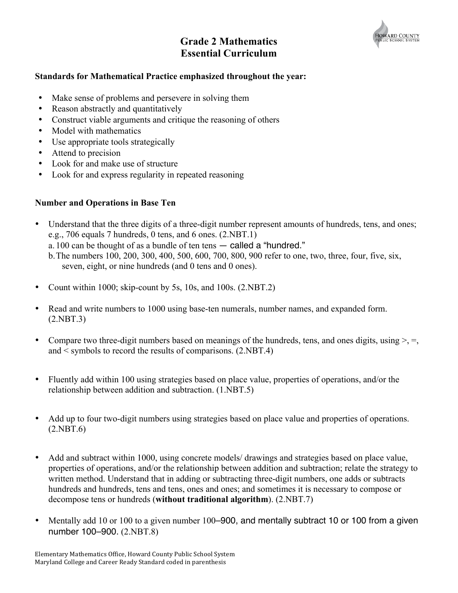

# **Grade 2 Mathematics Essential Curriculum**

## **Standards for Mathematical Practice emphasized throughout the year:**

- Make sense of problems and persevere in solving them
- Reason abstractly and quantitatively
- Construct viable arguments and critique the reasoning of others
- Model with mathematics
- Use appropriate tools strategically
- Attend to precision
- Look for and make use of structure
- Look for and express regularity in repeated reasoning

## **Number and Operations in Base Ten**

- Understand that the three digits of a three-digit number represent amounts of hundreds, tens, and ones; e.g., 706 equals 7 hundreds, 0 tens, and 6 ones. (2.NBT.1) a. 100 can be thought of as a bundle of ten tens — called a "hundred." b.The numbers 100, 200, 300, 400, 500, 600, 700, 800, 900 refer to one, two, three, four, five, six,
	- seven, eight, or nine hundreds (and 0 tens and 0 ones).
- Count within 1000; skip-count by 5s, 10s, and 100s. (2.NBT.2)
- Read and write numbers to 1000 using base-ten numerals, number names, and expanded form. (2.NBT.3)
- Compare two three-digit numbers based on meanings of the hundreds, tens, and ones digits, using  $>$ ,  $=$ , and < symbols to record the results of comparisons. (2.NBT.4)
- Fluently add within 100 using strategies based on place value, properties of operations, and/or the relationship between addition and subtraction. (1.NBT.5)
- Add up to four two-digit numbers using strategies based on place value and properties of operations. (2.NBT.6)
- Add and subtract within 1000, using concrete models/ drawings and strategies based on place value, properties of operations, and/or the relationship between addition and subtraction; relate the strategy to written method. Understand that in adding or subtracting three-digit numbers, one adds or subtracts hundreds and hundreds, tens and tens, ones and ones; and sometimes it is necessary to compose or decompose tens or hundreds (**without traditional algorithm**). (2.NBT.7)
- Mentally add 10 or 100 to a given number 100–900, and mentally subtract 10 or 100 from a given number 100–900. (2.NBT.8)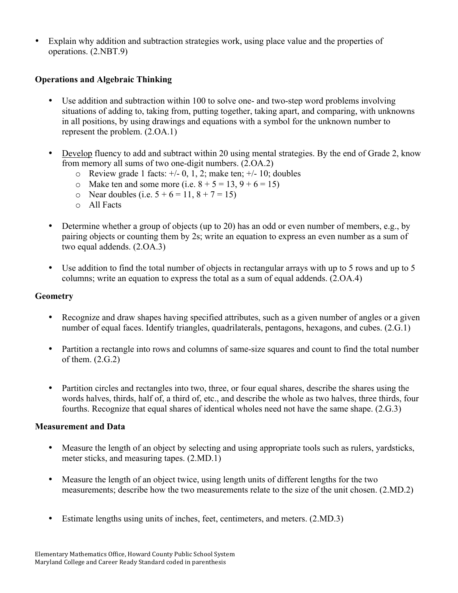Explain why addition and subtraction strategies work, using place value and the properties of operations. (2.NBT.9)

# **Operations and Algebraic Thinking**

- Use addition and subtraction within 100 to solve one- and two-step word problems involving situations of adding to, taking from, putting together, taking apart, and comparing, with unknowns in all positions, by using drawings and equations with a symbol for the unknown number to represent the problem. (2.OA.1)
- Develop fluency to add and subtract within 20 using mental strategies. By the end of Grade 2, know from memory all sums of two one-digit numbers. (2.OA.2)
	- $\circ$  Review grade 1 facts:  $\div$  0, 1, 2; make ten;  $\div$  10; doubles
	- $\circ$  Make ten and some more (i.e.  $8 + 5 = 13, 9 + 6 = 15$ )
	- o Near doubles (i.e.  $5 + 6 = 11, 8 + 7 = 15$ )
	- o All Facts
- Determine whether a group of objects (up to 20) has an odd or even number of members, e.g., by pairing objects or counting them by 2s; write an equation to express an even number as a sum of two equal addends. (2.OA.3)
- Use addition to find the total number of objects in rectangular arrays with up to 5 rows and up to 5 columns; write an equation to express the total as a sum of equal addends. (2.OA.4)

### **Geometry**

- Recognize and draw shapes having specified attributes, such as a given number of angles or a given number of equal faces. Identify triangles, quadrilaterals, pentagons, hexagons, and cubes. (2.G.1)
- Partition a rectangle into rows and columns of same-size squares and count to find the total number of them.  $(2.G.2)$
- Partition circles and rectangles into two, three, or four equal shares, describe the shares using the words halves, thirds, half of, a third of, etc., and describe the whole as two halves, three thirds, four fourths. Recognize that equal shares of identical wholes need not have the same shape. (2.G.3)

#### **Measurement and Data**

- Measure the length of an object by selecting and using appropriate tools such as rulers, yardsticks, meter sticks, and measuring tapes. (2.MD.1)
- Measure the length of an object twice, using length units of different lengths for the two measurements; describe how the two measurements relate to the size of the unit chosen. (2.MD.2)
- Estimate lengths using units of inches, feet, centimeters, and meters. (2.MD.3)